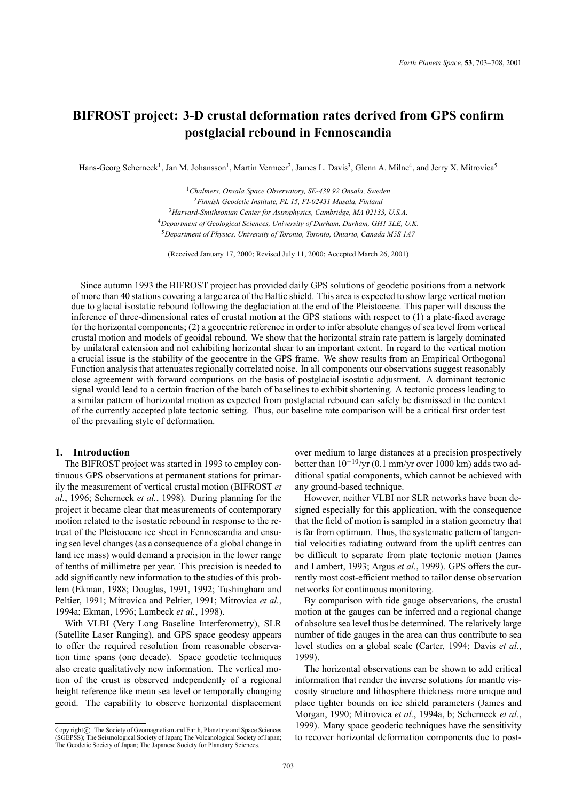# **BIFROST project: 3-D crustal deformation rates derived from GPS confirm postglacial rebound in Fennoscandia**

Hans-Georg Scherneck<sup>1</sup>, Jan M. Johansson<sup>1</sup>, Martin Vermeer<sup>2</sup>, James L. Davis<sup>3</sup>, Glenn A. Milne<sup>4</sup>, and Jerry X. Mitrovica<sup>5</sup>

*Chalmers, Onsala Space Observatory, SE-439 92 Onsala, Sweden Finnish Geodetic Institute, PL 15, FI-02431 Masala, Finland Harvard-Smithsonian Center for Astrophysics, Cambridge, MA 02133, U.S.A. Department of Geological Sciences, University of Durham, Durham, GH1 3LE, U.K. Department of Physics, University of Toronto, Toronto, Ontario, Canada M5S 1A7*

(Received January 17, 2000; Revised July 11, 2000; Accepted March 26, 2001)

Since autumn 1993 the BIFROST project has provided daily GPS solutions of geodetic positions from a network of more than 40 stations covering a large area of the Baltic shield. This area is expected to show large vertical motion due to glacial isostatic rebound following the deglaciation at the end of the Pleistocene. This paper will discuss the inference of three-dimensional rates of crustal motion at the GPS stations with respect to (1) a plate-fixed average for the horizontal components; (2) a geocentric reference in order to infer absolute changes of sea level from vertical crustal motion and models of geoidal rebound. We show that the horizontal strain rate pattern is largely dominated by unilateral extension and not exhibiting horizontal shear to an important extent. In regard to the vertical motion a crucial issue is the stability of the geocentre in the GPS frame. We show results from an Empirical Orthogonal Function analysis that attenuates regionally correlated noise. In all components our observations suggest reasonably close agreement with forward computions on the basis of postglacial isostatic adjustment. A dominant tectonic signal would lead to a certain fraction of the batch of baselines to exhibit shortening. A tectonic process leading to a similar pattern of horizontal motion as expected from postglacial rebound can safely be dismissed in the context of the currently accepted plate tectonic setting. Thus, our baseline rate comparison will be a critical first order test of the prevailing style of deformation.

# **1. Introduction**

The BIFROST project was started in 1993 to employ continuous GPS observations at permanent stations for primarily the measurement of vertical crustal motion (BIFROST *et al.*, 1996; Scherneck *et al.*, 1998). During planning for the project it became clear that measurements of contemporary motion related to the isostatic rebound in response to the retreat of the Pleistocene ice sheet in Fennoscandia and ensuing sea level changes (as a consequence of a global change in land ice mass) would demand a precision in the lower range of tenths of millimetre per year. This precision is needed to add significantly new information to the studies of this problem (Ekman, 1988; Douglas, 1991, 1992; Tushingham and Peltier, 1991; Mitrovica and Peltier, 1991; Mitrovica *et al.*, 1994a; Ekman, 1996; Lambeck *et al.*, 1998).

With VLBI (Very Long Baseline Interferometry), SLR (Satellite Laser Ranging), and GPS space geodesy appears to offer the required resolution from reasonable observation time spans (one decade). Space geodetic techniques also create qualitatively new information. The vertical motion of the crust is observed independently of a regional height reference like mean sea level or temporally changing geoid. The capability to observe horizontal displacement

over medium to large distances at a precision prospectively better than 10−10/yr (0.1 mm/yr over 1000 km) adds two additional spatial components, which cannot be achieved with any ground-based technique.

However, neither VLBI nor SLR networks have been designed especially for this application, with the consequence that the field of motion is sampled in a station geometry that is far from optimum. Thus, the systematic pattern of tangential velocities radiating outward from the uplift centres can be difficult to separate from plate tectonic motion (James and Lambert, 1993; Argus *et al.*, 1999). GPS offers the currently most cost-efficient method to tailor dense observation networks for continuous monitoring.

By comparison with tide gauge observations, the crustal motion at the gauges can be inferred and a regional change of absolute sea level thus be determined. The relatively large number of tide gauges in the area can thus contribute to sea level studies on a global scale (Carter, 1994; Davis *et al.*, 1999).

The horizontal observations can be shown to add critical information that render the inverse solutions for mantle viscosity structure and lithosphere thickness more unique and place tighter bounds on ice shield parameters (James and Morgan, 1990; Mitrovica *et al.*, 1994a, b; Scherneck *et al.*, 1999). Many space geodetic techniques have the sensitivity to recover horizontal deformation components due to post-

Copy right $\odot$  The Society of Geomagnetism and Earth, Planetary and Space Sciences (SGEPSS); The Seismological Society of Japan; The Volcanological Society of Japan; The Geodetic Society of Japan; The Japanese Society for Planetary Sciences.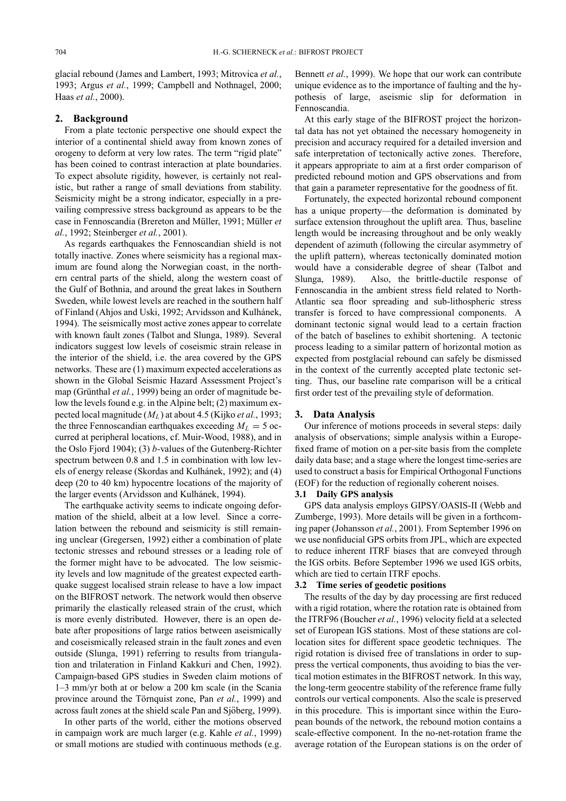glacial rebound (James and Lambert, 1993; Mitrovica *et al.*, 1993; Argus *et al.*, 1999; Campbell and Nothnagel, 2000; Haas *et al.*, 2000).

# **2. Background**

From a plate tectonic perspective one should expect the interior of a continental shield away from known zones of orogeny to deform at very low rates. The term "rigid plate" has been coined to contrast interaction at plate boundaries. To expect absolute rigidity, however, is certainly not realistic, but rather a range of small deviations from stability. Seismicity might be a strong indicator, especially in a prevailing compressive stress background as appears to be the case in Fennoscandia (Brereton and Müller, 1991; Müller et *al.*, 1992; Steinberger *et al.*, 2001).

As regards earthquakes the Fennoscandian shield is not totally inactive. Zones where seismicity has a regional maximum are found along the Norwegian coast, in the northern central parts of the shield, along the western coast of the Gulf of Bothnia, and around the great lakes in Southern Sweden, while lowest levels are reached in the southern half of Finland (Ahjos and Uski, 1992; Arvidsson and Kulhánek, 1994). The seismically most active zones appear to correlate with known fault zones (Talbot and Slunga, 1989). Several indicators suggest low levels of coseismic strain release in the interior of the shield, i.e. the area covered by the GPS networks. These are (1) maximum expected accelerations as shown in the Global Seismic Hazard Assessment Project's map (Grünthal *et al.*, 1999) being an order of magnitude below the levels found e.g. in the Alpine belt; (2) maximum expected local magnitude (*ML* ) at about 4.5 (Kijko *et al.*, 1993; the three Fennoscandian earthquakes exceeding  $M_L = 5$  occurred at peripheral locations, cf. Muir-Wood, 1988), and in the Oslo Fjord 1904); (3) *b*-values of the Gutenberg-Richter spectrum between 0.8 and 1.5 in combination with low levels of energy release (Skordas and Kulhánek, 1992); and (4) deep (20 to 40 km) hypocentre locations of the majority of the larger events (Arvidsson and Kulhánek, 1994).

The earthquake activity seems to indicate ongoing deformation of the shield, albeit at a low level. Since a correlation between the rebound and seismicity is still remaining unclear (Gregersen, 1992) either a combination of plate tectonic stresses and rebound stresses or a leading role of the former might have to be advocated. The low seismicity levels and low magnitude of the greatest expected earthquake suggest localised strain release to have a low impact on the BIFROST network. The network would then observe primarily the elastically released strain of the crust, which is more evenly distributed. However, there is an open debate after propositions of large ratios between aseismically and coseismically released strain in the fault zones and even outside (Slunga, 1991) referring to results from triangulation and trilateration in Finland Kakkuri and Chen, 1992). Campaign-based GPS studies in Sweden claim motions of 1–3 mm/yr both at or below a 200 km scale (in the Scania province around the Törnquist zone, Pan *et al.*, 1999) and across fault zones at the shield scale Pan and Sjöberg, 1999).

In other parts of the world, either the motions observed in campaign work are much larger (e.g. Kahle *et al.*, 1999) or small motions are studied with continuous methods (e.g. Bennett *et al.*, 1999). We hope that our work can contribute unique evidence as to the importance of faulting and the hypothesis of large, aseismic slip for deformation in Fennoscandia.

At this early stage of the BIFROST project the horizontal data has not yet obtained the necessary homogeneity in precision and accuracy required for a detailed inversion and safe interpretation of tectonically active zones. Therefore, it appears appropriate to aim at a first order comparison of predicted rebound motion and GPS observations and from that gain a parameter representative for the goodness of fit.

Fortunately, the expected horizontal rebound component has a unique property—the deformation is dominated by surface extension throughout the uplift area. Thus, baseline length would be increasing throughout and be only weakly dependent of azimuth (following the circular asymmetry of the uplift pattern), whereas tectonically dominated motion would have a considerable degree of shear (Talbot and Slunga, 1989). Also, the brittle-ductile response of Fennoscandia in the ambient stress field related to North-Atlantic sea floor spreading and sub-lithospheric stress transfer is forced to have compressional components. A dominant tectonic signal would lead to a certain fraction of the batch of baselines to exhibit shortening. A tectonic process leading to a similar pattern of horizontal motion as expected from postglacial rebound can safely be dismissed in the context of the currently accepted plate tectonic setting. Thus, our baseline rate comparison will be a critical first order test of the prevailing style of deformation.

# **3. Data Analysis**

Our inference of motions proceeds in several steps: daily analysis of observations; simple analysis within a Europefixed frame of motion on a per-site basis from the complete daily data base; and a stage where the longest time-series are used to construct a basis for Empirical Orthogonal Functions (EOF) for the reduction of regionally coherent noises.

# **3.1 Daily GPS analysis**

GPS data analysis employs GIPSY/OASIS-II (Webb and Zumberge, 1993). More details will be given in a forthcoming paper (Johansson *et al.*, 2001). From September 1996 on we use nonfiducial GPS orbits from JPL, which are expected to reduce inherent ITRF biases that are conveyed through the IGS orbits. Before September 1996 we used IGS orbits, which are tied to certain ITRF epochs.

# **3.2 Time series of geodetic positions**

The results of the day by day processing are first reduced with a rigid rotation, where the rotation rate is obtained from the ITRF96 (Boucher *et al.*, 1996) velocity field at a selected set of European IGS stations. Most of these stations are collocation sites for different space geodetic techniques. The rigid rotation is divised free of translations in order to suppress the vertical components, thus avoiding to bias the vertical motion estimates in the BIFROST network. In this way, the long-term geocentre stability of the reference frame fully controls our vertical components. Also the scale is preserved in this procedure. This is important since within the European bounds of the network, the rebound motion contains a scale-effective component. In the no-net-rotation frame the average rotation of the European stations is on the order of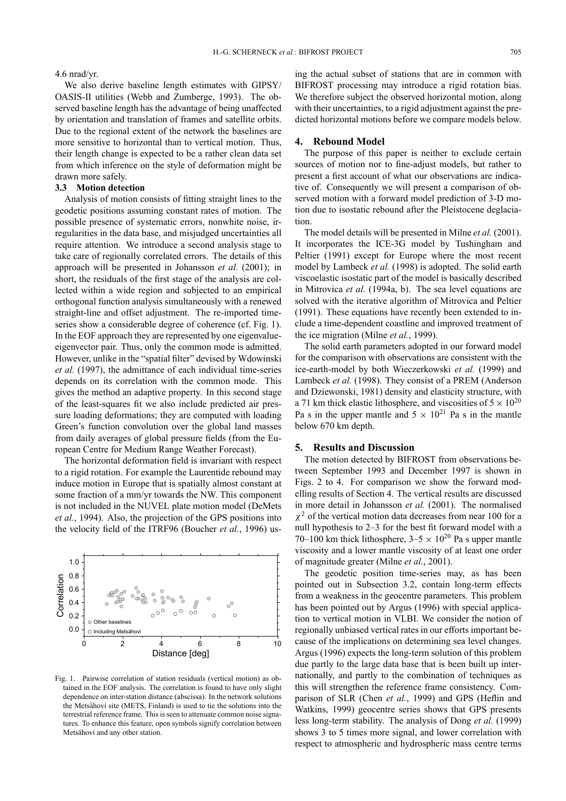#### 4.6 nrad/yr.

We also derive baseline length estimates with GIPSY/ OASIS-II utilities (Webb and Zumberge, 1993). The observed baseline length has the advantage of being unaffected by orientation and translation of frames and satellite orbits. Due to the regional extent of the network the baselines are more sensitive to horizontal than to vertical motion. Thus, their length change is expected to be a rather clean data set from which inference on the style of deformation might be drawn more safely.

# **3.3 Motion detection**

Analysis of motion consists of fitting straight lines to the geodetic positions assuming constant rates of motion. The possible presence of systematic errors, nonwhite noise, irregularities in the data base, and misjudged uncertainties all require attention. We introduce a second analysis stage to take care of regionally correlated errors. The details of this approach will be presented in Johansson *et al.* (2001); in short, the residuals of the first stage of the analysis are collected within a wide region and subjected to an empirical orthogonal function analysis simultaneously with a renewed straight-line and offset adjustment. The re-imported timeseries show a considerable degree of coherence (cf. Fig. 1). In the EOF approach they are represented by one eigenvalueeigenvector pair. Thus, only the common mode is admitted. However, unlike in the "spatial filter" devised by Wdowinski *et al.* (1997), the admittance of each individual time-series depends on its correlation with the common mode. This gives the method an adaptive property. In this second stage of the least-squares fit we also include predicted air pressure loading deformations; they are computed with loading Green's function convolution over the global land masses from daily averages of global pressure fields (from the European Centre for Medium Range Weather Forecast).

The horizontal deformation field is invariant with respect to a rigid rotation. For example the Laurentide rebound may induce motion in Europe that is spatially almost constant at some fraction of a mm/yr towards the NW. This component is not included in the NUVEL plate motion model (DeMets *et al.*, 1994). Also, the projection of the GPS positions into the velocity field of the ITRF96 (Boucher *et al.*, 1996) us-



Fig. 1. Pairwise correlation of station residuals (vertical motion) as obtained in the EOF analysis. The correlation is found to have only slight dependence on inter-station distance (abscissa). In the network solutions the Metsähovi site (METS, Finland) is used to tie the solutions into the terrestrial reference frame. This is seen to attenuate common noise signatures. To enhance this feature, open symbols signify correlation between Metsähovi and any other station.

ing the actual subset of stations that are in common with BIFROST processing may introduce a rigid rotation bias. We therefore subject the observed horizontal motion, along with their uncertainties, to a rigid adjustment against the predicted horizontal motions before we compare models below.

# **4. Rebound Model**

The purpose of this paper is neither to exclude certain sources of motion nor to fine-adjust models, but rather to present a first account of what our observations are indicative of. Consequently we will present a comparison of observed motion with a forward model prediction of 3-D motion due to isostatic rebound after the Pleistocene deglaciation.

The model details will be presented in Milne *et al.* (2001). It incorporates the ICE-3G model by Tushingham and Peltier (1991) except for Europe where the most recent model by Lambeck *et al.* (1998) is adopted. The solid earth viscoelastic isostatic part of the model is basically described in Mitrovica *et al.* (1994a, b). The sea level equations are solved with the iterative algorithm of Mitrovica and Peltier (1991). These equations have recently been extended to include a time-dependent coastline and improved treatment of the ice migration (Milne *et al.*, 1999).

The solid earth parameters adopted in our forward model for the comparison with observations are consistent with the ice-earth-model by both Wieczerkowski *et al.* (1999) and Lambeck *et al.* (1998). They consist of a PREM (Anderson and Dziewonski, 1981) density and elasticity structure, with a 71 km thick elastic lithosphere, and viscosities of  $5 \times 10^{20}$ Pa s in the upper mantle and  $5 \times 10^{21}$  Pa s in the mantle below 670 km depth.

#### **5. Results and Discussion**

The motion detected by BIFROST from observations between September 1993 and December 1997 is shown in Figs. 2 to 4. For comparison we show the forward modelling results of Section 4. The vertical results are discussed in more detail in Johansson *et al.* (2001). The normalised  $\chi^2$  of the vertical motion data decreases from near 100 for a null hypothesis to 2–3 for the best fit forward model with a 70–100 km thick lithosphere,  $3-5 \times 10^{20}$  Pa s upper mantle viscosity and a lower mantle viscosity of at least one order of magnitude greater (Milne *et al.*, 2001).

The geodetic position time-series may, as has been pointed out in Subsection 3.2, contain long-term effects from a weakness in the geocentre parameters. This problem has been pointed out by Argus (1996) with special application to vertical motion in VLBI. We consider the notion of regionally unbiased vertical rates in our efforts important because of the implications on determining sea level changes. Argus (1996) expects the long-term solution of this problem due partly to the large data base that is been built up internationally, and partly to the combination of techniques as this will strengthen the reference frame consistency. Comparison of SLR (Chen *et al.*, 1999) and GPS (Heflin and Watkins, 1999) geocentre series shows that GPS presents less long-term stability. The analysis of Dong *et al.* (1999) shows 3 to 5 times more signal, and lower correlation with respect to atmospheric and hydrospheric mass centre terms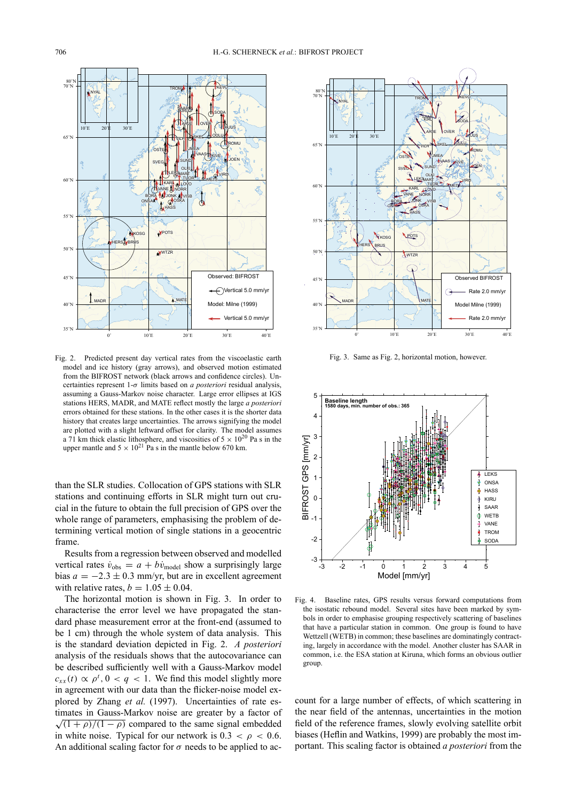

Fig. 2. Predicted present day vertical rates from the viscoelastic earth model and ice history (gray arrows), and observed motion estimated from the BIFROST network (black arrows and confidence circles). Uncertainties represent 1-σ limits based on *a posteriori* residual analysis, assuming a Gauss-Markov noise character. Large error ellipses at IGS stations HERS, MADR, and MATE reflect mostly the large *a posteriori* errors obtained for these stations. In the other cases it is the shorter data history that creates large uncertainties. The arrows signifying the model are plotted with a slight leftward offset for clarity. The model assumes a 71 km thick elastic lithosphere, and viscosities of  $5 \times 10^{20}$  Pa s in the upper mantle and  $5 \times 10^{21}$  Pa s in the mantle below 670 km.

than the SLR studies. Collocation of GPS stations with SLR stations and continuing efforts in SLR might turn out crucial in the future to obtain the full precision of GPS over the whole range of parameters, emphasising the problem of determining vertical motion of single stations in a geocentric frame.

Results from a regression between observed and modelled vertical rates  $\dot{v}_{obs} = a + b\dot{v}_{model}$  show a surprisingly large bias  $a = -2.3 \pm 0.3$  mm/yr, but are in excellent agreement with relative rates,  $b = 1.05 \pm 0.04$ .

The horizontal motion is shown in Fig. 3. In order to characterise the error level we have propagated the standard phase measurement error at the front-end (assumed to be 1 cm) through the whole system of data analysis. This is the standard deviation depicted in Fig. 2. *A posteriori* analysis of the residuals shows that the autocovariance can be described sufficiently well with a Gauss-Markov model  $c_{xx}(t) \propto \rho^t$ ,  $0 < q < 1$ . We find this model slightly more in agreement with our data than the flicker-noise model explored by Zhang *et al.* (1997). Uncertainties of rate estimates in Gauss-Markov noise are greater by a factor of  $\sqrt{(1+\rho)/(1-\rho)}$  compared to the same signal embedded in white noise. Typical for our network is  $0.3 < \rho < 0.6$ . An additional scaling factor for  $\sigma$  needs to be applied to ac-



Fig. 3. Same as Fig. 2, horizontal motion, however.



Fig. 4. Baseline rates, GPS results versus forward computations from the isostatic rebound model. Several sites have been marked by symbols in order to emphasise grouping respectively scattering of baselines that have a particular station in common. One group is found to have Wettzell (WETB) in common; these baselines are dominatingly contracting, largely in accordance with the model. Another cluster has SAAR in common, i.e. the ESA station at Kiruna, which forms an obvious outlier group.

count for a large number of effects, of which scattering in the near field of the antennas, uncertainties in the motion field of the reference frames, slowly evolving satellite orbit biases (Heflin and Watkins, 1999) are probably the most important. This scaling factor is obtained *a posteriori* from the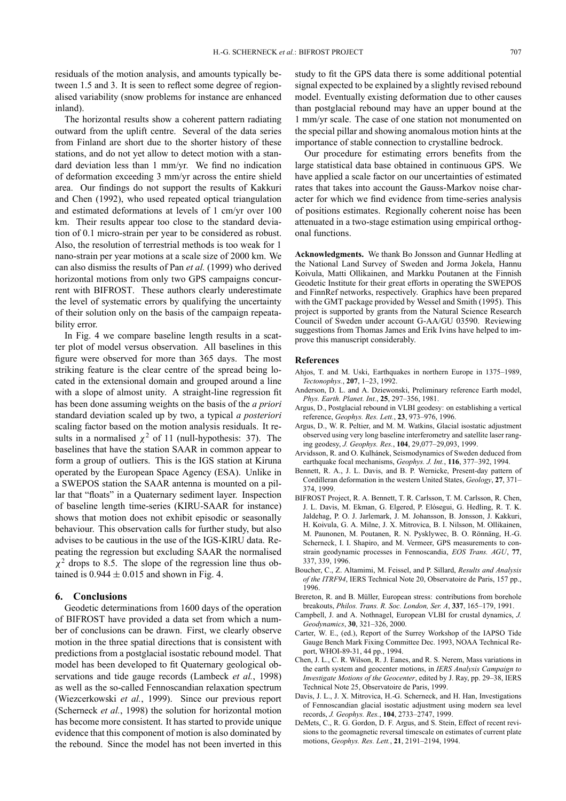residuals of the motion analysis, and amounts typically between 1.5 and 3. It is seen to reflect some degree of regionalised variability (snow problems for instance are enhanced inland).

The horizontal results show a coherent pattern radiating outward from the uplift centre. Several of the data series from Finland are short due to the shorter history of these stations, and do not yet allow to detect motion with a standard deviation less than 1 mm/yr. We find no indication of deformation exceeding 3 mm/yr across the entire shield area. Our findings do not support the results of Kakkuri and Chen (1992), who used repeated optical triangulation and estimated deformations at levels of 1 cm/yr over 100 km. Their results appear too close to the standard deviation of 0.1 micro-strain per year to be considered as robust. Also, the resolution of terrestrial methods is too weak for 1 nano-strain per year motions at a scale size of 2000 km. We can also dismiss the results of Pan *et al.* (1999) who derived horizontal motions from only two GPS campaigns concurrent with BIFROST. These authors clearly underestimate the level of systematic errors by qualifying the uncertainty of their solution only on the basis of the campaign repeatability error.

In Fig. 4 we compare baseline length results in a scatter plot of model versus observation. All baselines in this figure were observed for more than 365 days. The most striking feature is the clear centre of the spread being located in the extensional domain and grouped around a line with a slope of almost unity. A straight-line regression fit has been done assuming weights on the basis of the *a priori* standard deviation scaled up by two, a typical *a posteriori* scaling factor based on the motion analysis residuals. It results in a normalised  $\chi^2$  of 11 (null-hypothesis: 37). The baselines that have the station SAAR in common appear to form a group of outliers. This is the IGS station at Kiruna operated by the European Space Agency (ESA). Unlike in a SWEPOS station the SAAR antenna is mounted on a pillar that "floats" in a Quaternary sediment layer. Inspection of baseline length time-series (KIRU-SAAR for instance) shows that motion does not exhibit episodic or seasonally behaviour. This observation calls for further study, but also advises to be cautious in the use of the IGS-KIRU data. Repeating the regression but excluding SAAR the normalised  $\chi^2$  drops to 8.5. The slope of the regression line thus obtained is  $0.944 \pm 0.015$  and shown in Fig. 4.

### **6. Conclusions**

Geodetic determinations from 1600 days of the operation of BIFROST have provided a data set from which a number of conclusions can be drawn. First, we clearly observe motion in the three spatial directions that is consistent with predictions from a postglacial isostatic rebound model. That model has been developed to fit Quaternary geological observations and tide gauge records (Lambeck *et al.*, 1998) as well as the so-called Fennoscandian relaxation spectrum (Wiezcerkowski *et al.*, 1999). Since our previous report (Scherneck *et al.*, 1998) the solution for horizontal motion has become more consistent. It has started to provide unique evidence that this component of motion is also dominated by the rebound. Since the model has not been inverted in this

study to fit the GPS data there is some additional potential signal expected to be explained by a slightly revised rebound model. Eventually existing deformation due to other causes than postglacial rebound may have an upper bound at the 1 mm/yr scale. The case of one station not monumented on the special pillar and showing anomalous motion hints at the importance of stable connection to crystalline bedrock.

Our procedure for estimating errors benefits from the large statistical data base obtained in continuous GPS. We have applied a scale factor on our uncertainties of estimated rates that takes into account the Gauss-Markov noise character for which we find evidence from time-series analysis of positions estimates. Regionally coherent noise has been attenuated in a two-stage estimation using empirical orthogonal functions.

**Acknowledgments.** We thank Bo Jonsson and Gunnar Hedling at the National Land Survey of Sweden and Jorma Jokela, Hannu Koivula, Matti Ollikainen, and Markku Poutanen at the Finnish Geodetic Institute for their great efforts in operating the SWEPOS and FinnRef networks, respectively. Graphics have been prepared with the GMT package provided by Wessel and Smith (1995). This project is supported by grants from the Natural Science Research Council of Sweden under account G-AA/GU 03590. Reviewing suggestions from Thomas James and Erik Ivins have helped to improve this manuscript considerably.

#### **References**

- Ahjos, T. and M. Uski, Earthquakes in northern Europe in 1375–1989, *Tectonophys.*, **207**, 1–23, 1992.
- Anderson, D. L. and A. Dziewonski, Preliminary reference Earth model, *Phys. Earth. Planet. Int.*, **25**, 297–356, 1981.
- Argus, D., Postglacial rebound in VLBI geodesy: on establishing a vertical reference, *Geophys. Res. Lett.*, **23**, 973–976, 1996.
- Argus, D., W. R. Peltier, and M. M. Watkins, Glacial isostatic adjustment observed using very long baseline interferometry and satellite laser ranging geodesy, *J. Geophys. Res.*, **104**, 29,077–29,093, 1999.
- Arvidsson, R. and O. Kulhánek, Seismodynamics of Sweden deduced from earthquake focal mechanisms, *Geophys. J. Int.*, **116**, 377–392, 1994.
- Bennett, R. A., J. L. Davis, and B. P. Wernicke, Present-day pattern of Cordilleran deformation in the western United States, *Geology*, **27**, 371– 374, 1999.
- BIFROST Project, R. A. Bennett, T. R. Carlsson, T. M. Carlsson, R. Chen, J. L. Davis, M. Ekman, G. Elgered, P. Elósegui, G. Hedling, R. T. K. Jaldehag, P. O. J. Jarlemark, J. M. Johansson, B. Jonsson, J. Kakkuri, H. Koivula, G. A. Milne, J. X. Mitrovica, B. I. Nilsson, M. Ollikainen, M. Paunonen, M. Poutanen, R. N. Pysklywec, B. O. Rönnäng, H.-G. Scherneck, I. I. Shapiro, and M. Vermeer, GPS measurements to constrain geodynamic processes in Fennoscandia, *EOS Trans. AGU*, **77**, 337, 339, 1996.
- Boucher, C., Z. Altamimi, M. Feissel, and P. Sillard, *Results and Analysis of the ITRF94*, IERS Technical Note 20, Observatoire de Paris, 157 pp., 1996.
- Brereton, R. and B. Müller, European stress: contributions from borehole breakouts, *Philos. Trans. R. Soc. London, Ser. A*, **337**, 165–179, 1991.
- Campbell, J. and A. Nothnagel, European VLBI for crustal dynamics, *J. Geodynamics*, **30**, 321–326, 2000.
- Carter, W. E., (ed.), Report of the Surrey Workshop of the IAPSO Tide Gauge Bench Mark Fixing Committee Dec. 1993, NOAA Technical Report, WHOI-89-31, 44 pp., 1994.
- Chen, J. L., C. R. Wilson, R. J. Eanes, and R. S. Nerem, Mass variations in the earth system and geocenter motions, in *IERS Analysis Campaign to Investigate Motions of the Geocenter*, edited by J. Ray, pp. 29–38, IERS Technical Note 25, Observatoire de Paris, 1999.
- Davis, J. L., J. X. Mitrovica, H.-G. Scherneck, and H. Han, Investigations of Fennoscandian glacial isostatic adjustment using modern sea level records, *J. Geophys. Res.*, **104**, 2733–2747, 1999.
- DeMets, C., R. G. Gordon, D. F. Argus, and S. Stein, Effect of recent revisions to the geomagnetic reversal timescale on estimates of current plate motions, *Geophys. Res. Lett.*, **21**, 2191–2194, 1994.